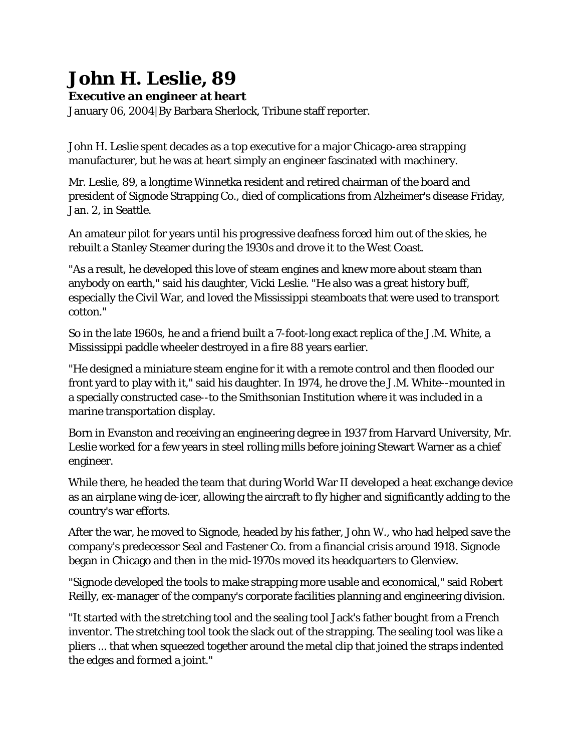## **John H. Leslie, 89**

**Executive an engineer at heart**

January 06, 2004|By Barbara Sherlock, Tribune staff reporter.

John H. Leslie spent decades as a top executive for a major Chicago-area strapping manufacturer, but he was at heart simply an engineer fascinated with machinery.

Mr. Leslie, 89, a longtime Winnetka resident and retired chairman of the board and president of Signode Strapping Co., died of complications from Alzheimer's disease Friday, Jan. 2, in Seattle.

An amateur pilot for years until his progressive deafness forced him out of the skies, he rebuilt a Stanley Steamer during the 1930s and drove it to the West Coast.

"As a result, he developed this love of steam engines and knew more about steam than anybody on earth," said his daughter, Vicki Leslie. "He also was a great history buff, especially the Civil War, and loved the Mississippi steamboats that were used to transport cotton."

So in the late 1960s, he and a friend built a 7-foot-long exact replica of the J.M. White, a Mississippi paddle wheeler destroyed in a fire 88 years earlier.

"He designed a miniature steam engine for it with a remote control and then flooded our front yard to play with it," said his daughter. In 1974, he drove the J.M. White--mounted in a specially constructed case--to the Smithsonian Institution where it was included in a marine transportation display.

Born in Evanston and receiving an engineering degree in 1937 from Harvard University, Mr. Leslie worked for a few years in steel rolling mills before joining Stewart Warner as a chief engineer.

While there, he headed the team that during World War II developed a heat exchange device as an airplane wing de-icer, allowing the aircraft to fly higher and significantly adding to the country's war efforts.

After the war, he moved to Signode, headed by his father, John W., who had helped save the company's predecessor Seal and Fastener Co. from a financial crisis around 1918. Signode began in Chicago and then in the mid-1970s moved its headquarters to Glenview.

"Signode developed the tools to make strapping more usable and economical," said Robert Reilly, ex-manager of the company's corporate facilities planning and engineering division.

"It started with the stretching tool and the sealing tool Jack's father bought from a French inventor. The stretching tool took the slack out of the strapping. The sealing tool was like a pliers ... that when squeezed together around the metal clip that joined the straps indented the edges and formed a joint."